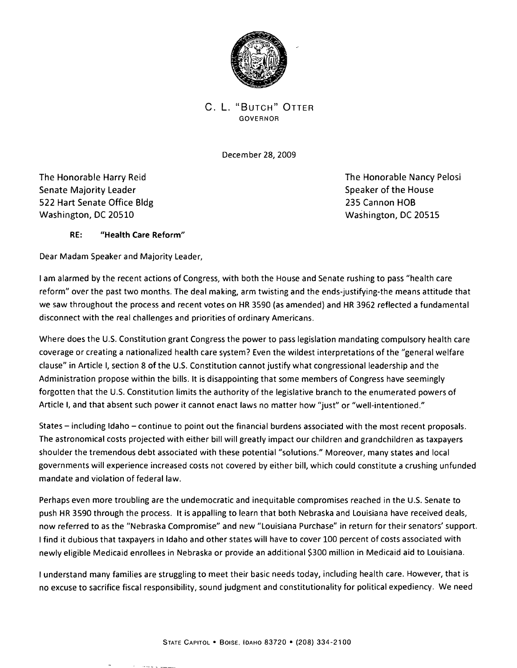

C. L. "BUTCH" OTTER GOVERNOR

December 28, 2009

The Honorable Harry Reid The Honorable Nancy Pelosi Senate Majority Leader Speaker of the House Speaker of the House 522 Hart Senate Office Bldg 235 Cannon HOB Washington, DC 20510 Washington, DC 20515

## RE: "Health Care Reform"

**Professional** 

Dear Madam Speaker and Majority Leader,

I am alarmed by the recent actions of Congress, with both the House and Senate rushing to pass "health care reform" over the past two months. The deal making, arm twisting and the ends-justifying-the means attitude that we saw throughout the process and recent votes on HR 3590 (as amended) and HR 3962 reflected a fundamental disconnect with the real challenges and priorities of ordinary Americans.

Where does the U.S. Constitution grant Congress the power to pass legislation mandating compulsory health care coverage or creating a nationalized health care system? Even the wildest interpretations of the "general welfare clause" in Article I, section 8 of the U.s. Constitution cannot justify what congressional leadership and the Administration propose within the bills. It is disappointing that some members of Congress have seemingly forgotten that the U.S. Constitution limits the authority of the legislative branch to the enumerated powers of Article I, and that absent such power it cannot enact laws no matter how "just" or "well-intentioned."

States - including Idaho - continue to point out the financial burdens associated with the most recent proposals. The astronomical costs projected with either bill will greatly impact our children and grandchildren as taxpayers shoulder the tremendous debt associated with these potential "solutions." Moreover, many states and local governments will experience increased costs not covered by either bill, which could constitute a crushing unfunded mandate and violation of federal law.

Perhaps even more troubling are the undemocratic and inequitable compromises reached in the U.S. Senate to push HR 3590 through the process. It is appalling to learn that both Nebraska and Louisiana have received deals, now referred to as the "Nebraska Compromise" and new "Louisiana Purchase" in return for their senators' support. I find it dubious that taxpayers in Idaho and other states will have to cover 100 percent of costs associated with newly eligible Medicaid enrollees in Nebraska or provide an additional \$300 million in Medicaid aid to Louisiana.

I understand many families are struggling to meet their basic needs today, including health care. However, that is no excuse to sacrifice fiscal responsibility, sound judgment and constitutionality for political expediency. We need